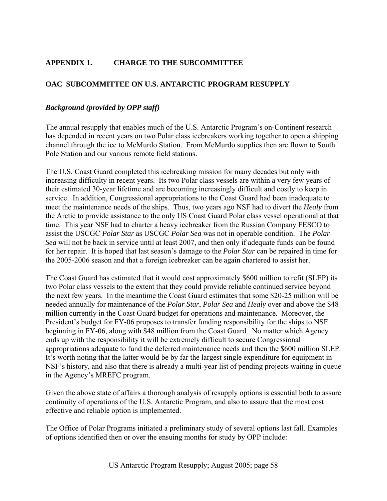# **APPENDIX 1. CHARGE TO THE SUBCOMMITTEE**

# **OAC SUBCOMMITTEE ON U.S. ANTARCTIC PROGRAM RESUPPLY**

### *Background (provided by OPP staff)*

The annual resupply that enables much of the U.S. Antarctic Program's on-Continent research has depended in recent years on two Polar class icebreakers working together to open a shipping channel through the ice to McMurdo Station. From McMurdo supplies then are flown to South Pole Station and our various remote field stations.

The U.S. Coast Guard completed this icebreaking mission for many decades but only with increasing difficulty in recent years. Its two Polar class vessels are within a very few years of their estimated 30-year lifetime and are becoming increasingly difficult and costly to keep in service. In addition, Congressional appropriations to the Coast Guard had been inadequate to meet the maintenance needs of the ships. Thus, two years ago NSF had to divert the *Healy* from the Arctic to provide assistance to the only US Coast Guard Polar class vessel operational at that time. This year NSF had to charter a heavy icebreaker from the Russian Company FESCO to assist the USCGC *Polar Star* as USCGC *Polar Sea* was not in operable condition. The *Polar Sea* will not be back in service until at least 2007, and then only if adequate funds can be found for her repair. It is hoped that last season's damage to the *Polar Star* can be repaired in time for the 2005-2006 season and that a foreign icebreaker can be again chartered to assist her.

The Coast Guard has estimated that it would cost approximately \$600 million to refit (SLEP) its two Polar class vessels to the extent that they could provide reliable continued service beyond the next few years. In the meantime the Coast Guard estimates that some \$20-25 million will be needed annually for maintenance of the *Polar Star*, *Polar Sea* and *Healy* over and above the \$48 million currently in the Coast Guard budget for operations and maintenance. Moreover, the President's budget for FY-06 proposes to transfer funding responsibility for the ships to NSF beginning in FY-06, along with \$48 million from the Coast Guard. No matter which Agency ends up with the responsibility it will be extremely difficult to secure Congressional appropriations adequate to fund the deferred maintenance needs and then the \$600 million SLEP. It's worth noting that the latter would be by far the largest single expenditure for equipment in NSF's history, and also that there is already a multi-year list of pending projects waiting in queue in the Agency's MREFC program.

Given the above state of affairs a thorough analysis of resupply options is essential both to assure continuity of operations of the U.S. Antarctic Program, and also to assure that the most cost effective and reliable option is implemented.

The Office of Polar Programs initiated a preliminary study of several options last fall. Examples of options identified then or over the ensuing months for study by OPP include: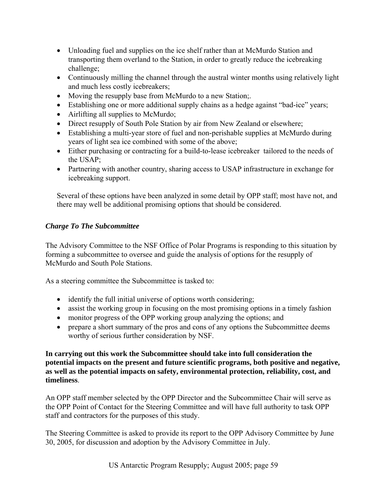- Unloading fuel and supplies on the ice shelf rather than at McMurdo Station and transporting them overland to the Station, in order to greatly reduce the icebreaking challenge;
- Continuously milling the channel through the austral winter months using relatively light and much less costly icebreakers;
- Moving the resupply base from McMurdo to a new Station;.
- Establishing one or more additional supply chains as a hedge against "bad-ice" years;
- Airlifting all supplies to McMurdo;
- Direct resupply of South Pole Station by air from New Zealand or elsewhere;
- Establishing a multi-year store of fuel and non-perishable supplies at McMurdo during years of light sea ice combined with some of the above;
- Either purchasing or contracting for a build-to-lease icebreaker tailored to the needs of the USAP;
- Partnering with another country, sharing access to USAP infrastructure in exchange for icebreaking support.

Several of these options have been analyzed in some detail by OPP staff; most have not, and there may well be additional promising options that should be considered.

# *Charge To The Subcommittee*

The Advisory Committee to the NSF Office of Polar Programs is responding to this situation by forming a subcommittee to oversee and guide the analysis of options for the resupply of McMurdo and South Pole Stations.

As a steering committee the Subcommittee is tasked to:

- identify the full initial universe of options worth considering;
- assist the working group in focusing on the most promising options in a timely fashion
- monitor progress of the OPP working group analyzing the options; and
- prepare a short summary of the pros and cons of any options the Subcommittee deems worthy of serious further consideration by NSF.

**In carrying out this work the Subcommittee should take into full consideration the potential impacts on the present and future scientific programs, both positive and negative, as well as the potential impacts on safety, environmental protection, reliability, cost, and timeliness**.

An OPP staff member selected by the OPP Director and the Subcommittee Chair will serve as the OPP Point of Contact for the Steering Committee and will have full authority to task OPP staff and contractors for the purposes of this study.

The Steering Committee is asked to provide its report to the OPP Advisory Committee by June 30, 2005, for discussion and adoption by the Advisory Committee in July.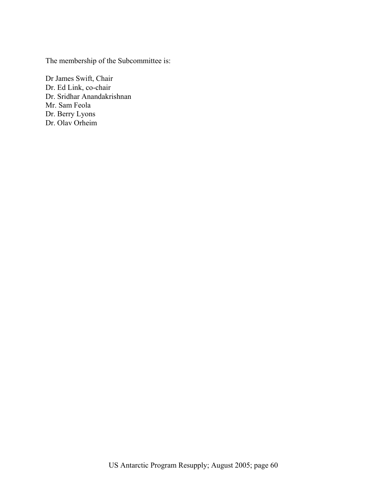The membership of the Subcommittee is:

Dr James Swift, Chair Dr. Ed Link, co-chair Dr. Sridhar Anandakrishnan Mr. Sam Feola Dr. Berry Lyons Dr. Olav Orheim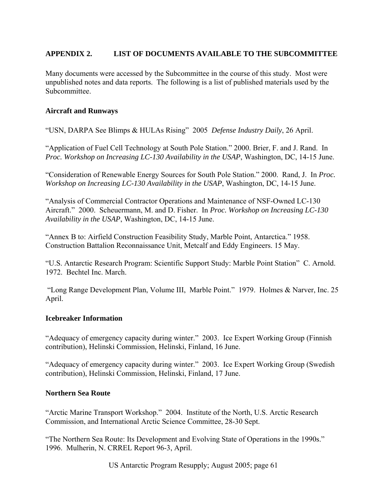# **APPENDIX 2. LIST OF DOCUMENTS AVAILABLE TO THE SUBCOMMITTEE**

Many documents were accessed by the Subcommittee in the course of this study. Most were unpublished notes and data reports. The following is a list of published materials used by the Subcommittee.

# **Aircraft and Runways**

"USN, DARPA See Blimps & HULAs Rising" 2005 *Defense Industry Daily*, 26 April.

"Application of Fuel Cell Technology at South Pole Station." 2000. Brier, F. and J. Rand. In *Proc. Workshop on Increasing LC-130 Availability in the USAP*, Washington, DC, 14-15 June.

"Consideration of Renewable Energy Sources for South Pole Station." 2000. Rand, J. In *Proc. Workshop on Increasing LC-130 Availability in the USAP*, Washington, DC, 14-15 June.

"Analysis of Commercial Contractor Operations and Maintenance of NSF-Owned LC-130 Aircraft." 2000. Scheuermann, M. and D. Fisher. In *Proc. Workshop on Increasing LC-130 Availability in the USAP*, Washington, DC, 14-15 June.

"Annex B to: Airfield Construction Feasibility Study, Marble Point, Antarctica." 1958. Construction Battalion Reconnaissance Unit, Metcalf and Eddy Engineers. 15 May.

"U.S. Antarctic Research Program: Scientific Support Study: Marble Point Station" C. Arnold. 1972. Bechtel Inc. March.

 "Long Range Development Plan, Volume III, Marble Point." 1979. Holmes & Narver, Inc. 25 April.

#### **Icebreaker Information**

"Adequacy of emergency capacity during winter." 2003. Ice Expert Working Group (Finnish contribution), Helinski Commission, Helinski, Finland, 16 June.

"Adequacy of emergency capacity during winter." 2003. Ice Expert Working Group (Swedish contribution), Helinski Commission, Helinski, Finland, 17 June.

# **Northern Sea Route**

"Arctic Marine Transport Workshop." 2004. Institute of the North, U.S. Arctic Research Commission, and International Arctic Science Committee, 28-30 Sept.

"The Northern Sea Route: Its Development and Evolving State of Operations in the 1990s." 1996. Mulherin, N. CRREL Report 96-3, April.

US Antarctic Program Resupply; August 2005; page 61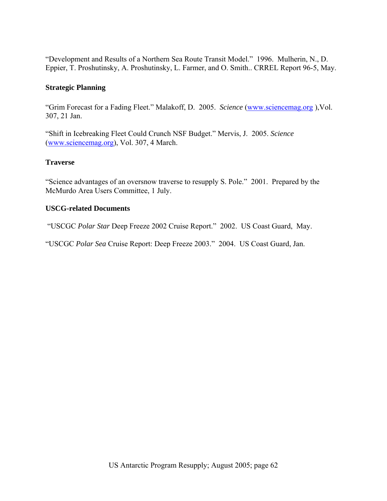"Development and Results of a Northern Sea Route Transit Model." 1996. Mulherin, N., D. Eppier, T. Proshutinsky, A. Proshutinsky, L. Farmer, and O. Smith.. CRREL Report 96-5, May.

# **Strategic Planning**

"Grim Forecast for a Fading Fleet." Malakoff, D. 2005. *Science* [\(www.sciencemag.org](http://www.sciencemag.org) ),Vol. 307, 21 Jan.

"Shift in Icebreaking Fleet Could Crunch NSF Budget." Mervis, J. 2005. *Science* ([www.sciencemag.org\)](http://www.sciencemag.org), Vol. 307, 4 March.

## **Traverse**

"Science advantages of an oversnow traverse to resupply S. Pole." 2001. Prepared by the McMurdo Area Users Committee, 1 July.

## **USCG-related Documents**

"USCGC *Polar Star* Deep Freeze 2002 Cruise Report." 2002. US Coast Guard, May.

"USCGC *Polar Sea* Cruise Report: Deep Freeze 2003." 2004. US Coast Guard, Jan.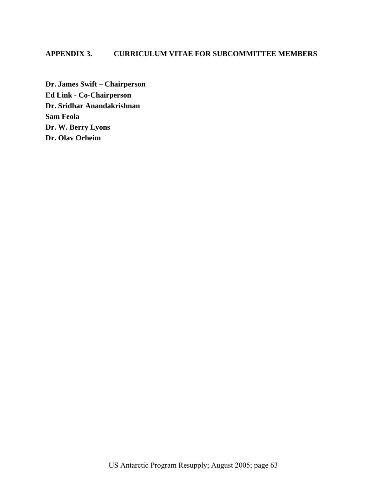# **APPENDIX 3. CURRICULUM VITAE FOR SUBCOMMITTEE MEMBERS**

**Dr. James Swift – Chairperson Ed Link - Co-Chairperson Dr. Sridhar Anandakrishnan Sam Feola Dr. W. Berry Lyons Dr. Olav Orheim**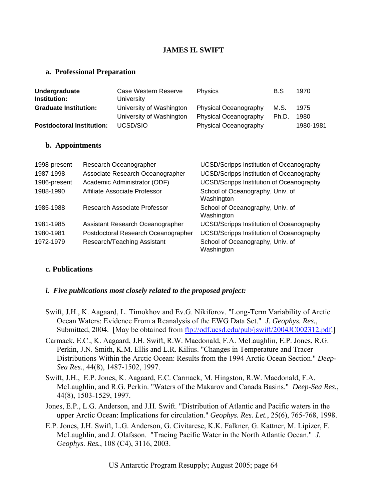# **JAMES H. SWIFT**

#### **a. Professional Preparation**

| Undergraduate<br>Institution:    | Case Western Reserve<br>University | <b>Physics</b>        | B.S   | 1970      |
|----------------------------------|------------------------------------|-----------------------|-------|-----------|
| <b>Graduate Institution:</b>     | University of Washington           | Physical Oceanography | M.S.  | 1975      |
|                                  | University of Washington           | Physical Oceanography | Ph.D. | 1980      |
| <b>Postdoctoral Institution:</b> | UCSD/SIO                           | Physical Oceanography |       | 1980-1981 |

#### **b. Appointments**

| 1998-present | Research Oceanographer              | <b>UCSD/Scripps Institution of Oceanography</b> |
|--------------|-------------------------------------|-------------------------------------------------|
| 1987-1998    | Associate Research Oceanographer    | <b>UCSD/Scripps Institution of Oceanography</b> |
| 1986-present | Academic Administrator (ODF)        | <b>UCSD/Scripps Institution of Oceanography</b> |
| 1988-1990    | Affiliate Associate Professor       | School of Oceanography, Univ. of<br>Washington  |
| 1985-1988    | Research Associate Professor        | School of Oceanography, Univ. of<br>Washington  |
| 1981-1985    | Assistant Research Oceanographer    | <b>UCSD/Scripps Institution of Oceanography</b> |
| 1980-1981    | Postdoctoral Research Oceanographer | <b>UCSD/Scripps Institution of Oceanography</b> |
| 1972-1979    | Research/Teaching Assistant         | School of Oceanography, Univ. of<br>Washington  |

#### **c. Publications**

#### *i. Five publications most closely related to the proposed project:*

- Swift, J.H., K. Aagaard, L. Timokhov and Ev.G. Nikiforov. "Long-Term Variability of Arctic Ocean Waters: Evidence From a Reanalysis of the EWG Data Set." *J. Geophys. Res.*, Submitted, 2004. [May be obtained from <ftp://odf.ucsd.edu/pub/jswift/2004JC002312.pdf>.]
- Carmack, E.C., K. Aagaard, J.H. Swift, R.W. Macdonald, F.A. McLaughlin, E.P. Jones, R.G. Perkin, J.N. Smith, K.M. Ellis and L.R. Kilius. "Changes in Temperature and Tracer Distributions Within the Arctic Ocean: Results from the 1994 Arctic Ocean Section." *Deep-Sea Res.*, 44(8), 1487-1502, 1997.
- Swift, J.H., E.P. Jones, K. Aagaard, E.C. Carmack, M. Hingston, R.W. Macdonald, F.A. McLaughlin, and R.G. Perkin. "Waters of the Makarov and Canada Basins." *Deep-Sea Res.*, 44(8), 1503-1529, 1997.
- Jones, E.P., L.G. Anderson, and J.H. Swift. "Distribution of Atlantic and Pacific waters in the upper Arctic Ocean: Implications for circulation." *Geophys. Res. Let.*, 25(6), 765-768, 1998.
- E.P. Jones, J.H. Swift, L.G. Anderson, G. Civitarese, K.K. Falkner, G. Kattner, M. Lipizer, F. McLaughlin, and J. Olafsson. "Tracing Pacific Water in the North Atlantic Ocean." *J. Geophys. Res.*, 108 (C4), 3116, 2003.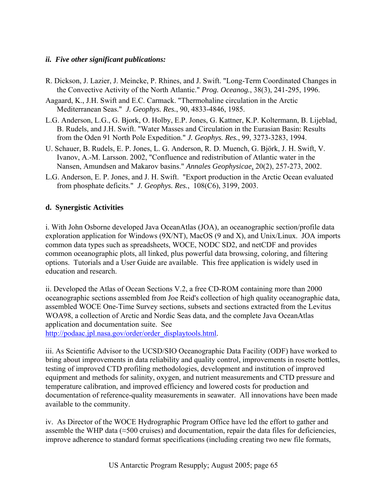# *ii. Five other significant publications:*

- R. Dickson, J. Lazier, J. Meincke, P. Rhines, and J. Swift. "Long-Term Coordinated Changes in the Convective Activity of the North Atlantic." *Prog. Oceanog.*, 38(3), 241-295, 1996.
- Aagaard, K., J.H. Swift and E.C. Carmack. "Thermohaline circulation in the Arctic Mediterranean Seas." *J. Geophys. Res.*, 90, 4833-4846, 1985.
- L.G. Anderson, L.G., G. Bjork, O. Holby, E.P. Jones, G. Kattner, K.P. Koltermann, B. Lijeblad, B. Rudels, and J.H. Swift. "Water Masses and Circulation in the Eurasian Basin: Results from the Oden 91 North Pole Expedition." *J. Geophys. Res.*, 99, 3273-3283, 1994.
- U. Schauer, B. Rudels, E. P. Jones, L. G. Anderson, R. D. Muench, G. Björk, J. H. Swift, V. Ivanov, A.-M. Larsson. 2002, "Confluence and redistribution of Atlantic water in the Nansen, Amundsen and Makarov basins." *Annales Geophysicae*, 20(2), 257-273, 2002.
- L.G. Anderson, E. P. Jones, and J. H. Swift. "Export production in the Arctic Ocean evaluated from phosphate deficits." *J. Geophys. Res.*, 108(C6), 3199, 2003.

# **d. Synergistic Activities**

i. With John Osborne developed Java OceanAtlas (JOA), an oceanographic section/profile data exploration application for Windows (9X/NT), MacOS (9 and X), and Unix/Linux. JOA imports common data types such as spreadsheets, WOCE, NODC SD2, and netCDF and provides common oceanographic plots, all linked, plus powerful data browsing, coloring, and filtering options. Tutorials and a User Guide are available. This free application is widely used in education and research.

ii. Developed the Atlas of Ocean Sections V.2, a free CD-ROM containing more than 2000 oceanographic sections assembled from Joe Reid's collection of high quality oceanographic data, assembled WOCE One-Time Survey sections, subsets and sections extracted from the Levitus WOA98, a collection of Arctic and Nordic Seas data, and the complete Java OceanAtlas application and documentation suite. See

[http://podaac.jpl.nasa.gov/order/order\\_displaytools.html](http://podaac.jpl.nasa.gov/order/order_displaytools.html).

iii. As Scientific Advisor to the UCSD/SIO Oceanographic Data Facility (ODF) have worked to bring about improvements in data reliability and quality control, improvements in rosette bottles, testing of improved CTD profiling methodologies, development and institution of improved equipment and methods for salinity, oxygen, and nutrient measurements and CTD pressure and temperature calibration, and improved efficiency and lowered costs for production and documentation of reference-quality measurements in seawater. All innovations have been made available to the community.

iv. As Director of the WOCE Hydrographic Program Office have led the effort to gather and assemble the WHP data (≈500 cruises) and documentation, repair the data files for deficiencies, improve adherence to standard format specifications (including creating two new file formats,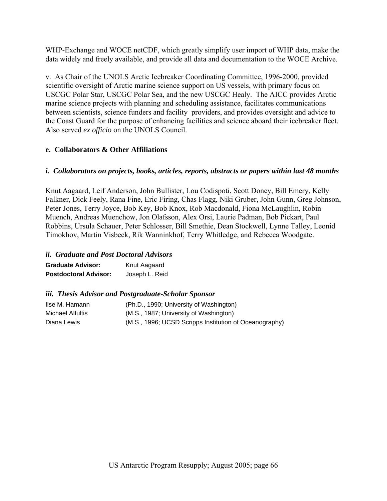WHP-Exchange and WOCE netCDF, which greatly simplify user import of WHP data, make the data widely and freely available, and provide all data and documentation to the WOCE Archive.

v. As Chair of the UNOLS Arctic Icebreaker Coordinating Committee, 1996-2000, provided scientific oversight of Arctic marine science support on US vessels, with primary focus on USCGC Polar Star, USCGC Polar Sea, and the new USCGC Healy. The AICC provides Arctic marine science projects with planning and scheduling assistance, facilitates communications between scientists, science funders and facility providers, and provides oversight and advice to the Coast Guard for the purpose of enhancing facilities and science aboard their icebreaker fleet. Also served *ex officio* on the UNOLS Council.

# **e. Collaborators & Other Affiliations**

# *i. Collaborators on projects, books, articles, reports, abstracts or papers within last 48 months*

Knut Aagaard, Leif Anderson, John Bullister, Lou Codispoti, Scott Doney, Bill Emery, Kelly Falkner, Dick Feely, Rana Fine, Eric Firing, Chas Flagg, Niki Gruber, John Gunn, Greg Johnson, Peter Jones, Terry Joyce, Bob Key, Bob Knox, Rob Macdonald, Fiona McLaughlin, Robin Muench, Andreas Muenchow, Jon Olafsson, Alex Orsi, Laurie Padman, Bob Pickart, Paul Robbins, Ursula Schauer, Peter Schlosser, Bill Smethie, Dean Stockwell, Lynne Talley, Leonid Timokhov, Martin Visbeck, Rik Wanninkhof, Terry Whitledge, and Rebecca Woodgate.

# *ii. Graduate and Post Doctoral Advisors*

| <b>Graduate Advisor:</b>     | Knut Aagaard   |
|------------------------------|----------------|
| <b>Postdoctoral Advisor:</b> | Joseph L. Reid |

# *iii. Thesis Advisor and Postgraduate-Scholar Sponsor*

| Ilse M. Hamann   | (Ph.D., 1990; University of Washington)                |
|------------------|--------------------------------------------------------|
| Michael Alfultis | (M.S., 1987; University of Washington)                 |
| Diana Lewis      | (M.S., 1996; UCSD Scripps Institution of Oceanography) |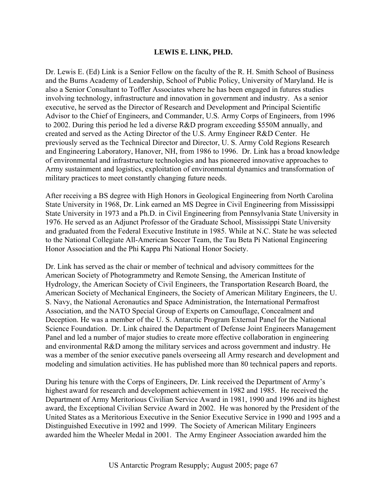# **LEWIS E. LINK, PH.D.**

Dr. Lewis E. (Ed) Link is a Senior Fellow on the faculty of the R. H. Smith School of Business and the Burns Academy of Leadership, School of Public Policy, University of Maryland. He is also a Senior Consultant to Toffler Associates where he has been engaged in futures studies involving technology, infrastructure and innovation in government and industry. As a senior executive, he served as the Director of Research and Development and Principal Scientific Advisor to the Chief of Engineers, and Commander, U.S. Army Corps of Engineers, from 1996 to 2002. During this period he led a diverse R&D program exceeding \$550M annually, and created and served as the Acting Director of the U.S. Army Engineer R&D Center. He previously served as the Technical Director and Director, U. S. Army Cold Regions Research and Engineering Laboratory, Hanover, NH, from 1986 to 1996. Dr. Link has a broad knowledge of environmental and infrastructure technologies and has pioneered innovative approaches to Army sustainment and logistics, exploitation of environmental dynamics and transformation of military practices to meet constantly changing future needs.

After receiving a BS degree with High Honors in Geological Engineering from North Carolina State University in 1968, Dr. Link earned an MS Degree in Civil Engineering from Mississippi State University in 1973 and a Ph.D. in Civil Engineering from Pennsylvania State University in 1976. He served as an Adjunct Professor of the Graduate School, Mississippi State University and graduated from the Federal Executive Institute in 1985. While at N.C. State he was selected to the National Collegiate All-American Soccer Team, the Tau Beta Pi National Engineering Honor Association and the Phi Kappa Phi National Honor Society.

Dr. Link has served as the chair or member of technical and advisory committees for the American Society of Photogrammetry and Remote Sensing, the American Institute of Hydrology, the American Society of Civil Engineers, the Transportation Research Board, the American Society of Mechanical Engineers, the Society of American Military Engineers, the U. S. Navy, the National Aeronautics and Space Administration, the International Permafrost Association, and the NATO Special Group of Experts on Camouflage, Concealment and Deception. He was a member of the U. S. Antarctic Program External Panel for the National Science Foundation. Dr. Link chaired the Department of Defense Joint Engineers Management Panel and led a number of major studies to create more effective collaboration in engineering and environmental R&D among the military services and across government and industry. He was a member of the senior executive panels overseeing all Army research and development and modeling and simulation activities. He has published more than 80 technical papers and reports.

During his tenure with the Corps of Engineers, Dr. Link received the Department of Army's highest award for research and development achievement in 1982 and 1985. He received the Department of Army Meritorious Civilian Service Award in 1981, 1990 and 1996 and its highest award, the Exceptional Civilian Service Award in 2002. He was honored by the President of the United States as a Meritorious Executive in the Senior Executive Service in 1990 and 1995 and a Distinguished Executive in 1992 and 1999. The Society of American Military Engineers awarded him the Wheeler Medal in 2001. The Army Engineer Association awarded him the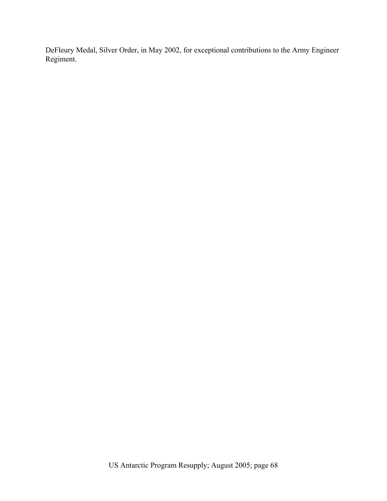DeFleury Medal, Silver Order, in May 2002, for exceptional contributions to the Army Engineer Regiment.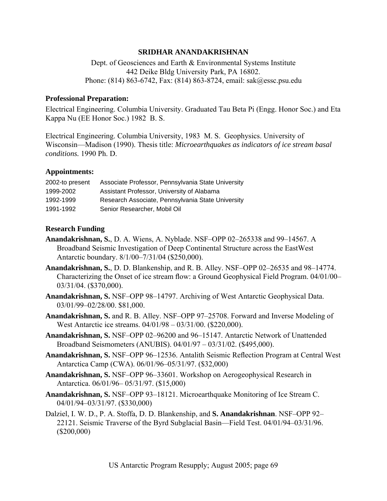## **SRIDHAR ANANDAKRISHNAN**

Dept. of Geosciences and Earth & Environmental Systems Institute 442 Deike Bldg University Park, PA 16802. Phone: (814) 863-6742, Fax: (814) 863-8724, email: sak@essc.psu.edu

#### **Professional Preparation:**

Electrical Engineering. Columbia University. Graduated Tau Beta Pi (Engg. Honor Soc.) and Eta Kappa Nu (EE Honor Soc.) 1982 B. S.

Electrical Engineering. Columbia University, 1983 M. S. Geophysics. University of Wisconsin—Madison (1990). Thesis title: *Microearthquakes as indicators of ice stream basal conditions.* 1990 Ph. D.

# **Appointments:**

| 2002-to present | Associate Professor, Pennsylvania State University |
|-----------------|----------------------------------------------------|
| 1999-2002       | Assistant Professor, University of Alabama         |
| 1992-1999       | Research Associate, Pennsylvania State University  |
| 1991-1992       | Senior Researcher, Mobil Oil                       |

#### **Research Funding**

- **Anandakrishnan, S.**, D. A. Wiens, A. Nyblade. NSF–OPP 02–265338 and 99–14567. A Broadband Seismic Investigation of Deep Continental Structure across the EastWest Antarctic boundary. 8/1/00–7/31/04 (\$250,000).
- **Anandakrishnan, S.**, D. D. Blankenship, and R. B. Alley. NSF–OPP 02–26535 and 98–14774. Characterizing the Onset of ice stream flow: a Ground Geophysical Field Program. 04/01/00– 03/31/04. (\$370,000).
- **Anandakrishnan, S.** NSF–OPP 98–14797. Archiving of West Antarctic Geophysical Data. 03/01/99–02/28/00. \$81,000.
- **Anandakrishnan, S.** and R. B. Alley. NSF–OPP 97–25708. Forward and Inverse Modeling of West Antarctic ice streams. 04/01/98 – 03/31/00. (\$220,000).
- **Anandakrishnan, S.** NSF–OPP 02–96200 and 96–15147. Antarctic Network of Unattended Broadband Seismometers (ANUBIS). 04/01/97 – 03/31/02. (\$495,000).
- **Anandakrishnan, S.** NSF–OPP 96–12536. Antalith Seismic Reflection Program at Central West Antarctica Camp (CWA). 06/01/96–05/31/97. (\$32,000)
- **Anandakrishnan, S.** NSF–OPP 96–33601. Workshop on Aerogeophysical Research in Antarctica. 06/01/96– 05/31/97. (\$15,000)
- **Anandakrishnan, S.** NSF–OPP 93–18121. Microearthquake Monitoring of Ice Stream C. 04/01/94–03/31/97. (\$330,000)
- Dalziel, I. W. D., P. A. Stoffa, D. D. Blankenship, and **S. Anandakrishnan**. NSF–OPP 92– 22121. Seismic Traverse of the Byrd Subglacial Basin—Field Test. 04/01/94–03/31/96. (\$200,000)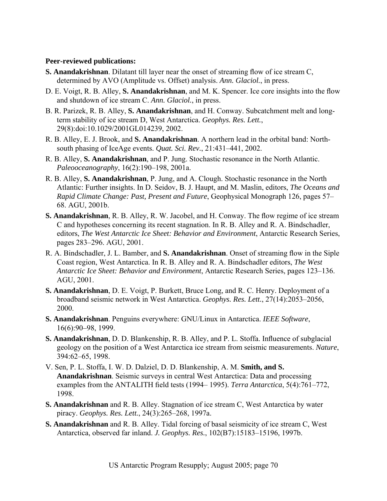### **Peer-reviewed publications:**

- **S. Anandakrishnan**. Dilatant till layer near the onset of streaming flow of ice stream C, determined by AVO (Amplitude vs. Offset) analysis. *Ann. Glaciol.*, in press.
- D. E. Voigt, R. B. Alley, **S. Anandakrishnan**, and M. K. Spencer. Ice core insights into the flow and shutdown of ice stream C. *Ann. Glaciol.*, in press.
- B. R. Parizek, R. B. Alley, **S. Anandakrishnan**, and H. Conway. Subcatchment melt and longterm stability of ice stream D, West Antarctica. *Geophys. Res. Lett.*, 29(8):doi:10.1029/2001GL014239, 2002.
- R. B. Alley, E. J. Brook, and **S. Anandakrishnan**. A northern lead in the orbital band: Northsouth phasing of IceAge events. *Quat. Sci. Rev.*, 21:431–441, 2002.
- R. B. Alley, **S. Anandakrishnan**, and P. Jung. Stochastic resonance in the North Atlantic. *Paleooceanography*, 16(2):190–198, 2001a.
- R. B. Alley, **S. Anandakrishnan**, P. Jung, and A. Clough. Stochastic resonance in the North Atlantic: Further insights. In D. Seidov, B. J. Haupt, and M. Maslin, editors, *The Oceans and Rapid Climate Change: Past, Present and Future*, Geophysical Monograph 126, pages 57– 68. AGU, 2001b.
- **S. Anandakrishnan**, R. B. Alley, R. W. Jacobel, and H. Conway. The flow regime of ice stream C and hypotheses concerning its recent stagnation. In R. B. Alley and R. A. Bindschadler, editors, *The West Antarctic Ice Sheet: Behavior and Environment*, Antarctic Research Series, pages 283–296. AGU, 2001.
- R. A. Bindschadler, J. L. Bamber, and **S. Anandakrishnan**. Onset of streaming flow in the Siple Coast region, West Antarctica. In R. B. Alley and R. A. Bindschadler editors, *The West Antarctic Ice Sheet: Behavior and Environment*, Antarctic Research Series, pages 123–136. AGU, 2001.
- **S. Anandakrishnan**, D. E. Voigt, P. Burkett, Bruce Long, and R. C. Henry. Deployment of a broadband seismic network in West Antarctica. *Geophys. Res. Lett.*, 27(14):2053–2056, 2000.
- **S. Anandakrishnan**. Penguins everywhere: GNU/Linux in Antarctica. *IEEE Software*, 16(6):90–98, 1999.
- **S. Anandakrishnan**, D. D. Blankenship, R. B. Alley, and P. L. Stoffa. Influence of subglacial geology on the position of a West Antarctica ice stream from seismic measurements. *Nature*, 394:62–65, 1998.
- V. Sen, P. L. Stoffa, I. W. D. Dalziel, D. D. Blankenship, A. M. **Smith, and S. Anandakrishnan**. Seismic surveys in central West Antarctica: Data and processing examples from the ANTALITH field tests (1994– 1995). *Terra Antarctica*, 5(4):761–772, 1998.
- **S. Anandakrishnan** and R. B. Alley. Stagnation of ice stream C, West Antarctica by water piracy. *Geophys. Res. Lett.*, 24(3):265–268, 1997a.
- **S. Anandakrishnan** and R. B. Alley. Tidal forcing of basal seismicity of ice stream C, West Antarctica, observed far inland. *J. Geophys. Res.*, 102(B7):15183–15196, 1997b.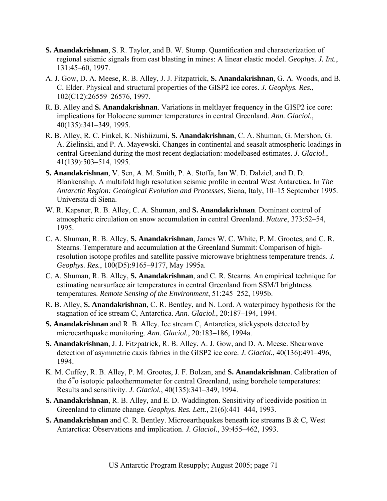- **S. Anandakrishnan**, S. R. Taylor, and B. W. Stump. Quantification and characterization of regional seismic signals from cast blasting in mines: A linear elastic model. *Geophys. J. Int.*, 131:45–60, 1997.
- A. J. Gow, D. A. Meese, R. B. Alley, J. J. Fitzpatrick, **S. Anandakrishnan**, G. A. Woods, and B. C. Elder. Physical and structural properties of the GISP2 ice cores. *J. Geophys. Res.*, 102(C12):26559–26576, 1997.
- R. B. Alley and **S. Anandakrishnan**. Variations in meltlayer frequency in the GISP2 ice core: implications for Holocene summer temperatures in central Greenland. *Ann. Glaciol.*, 40(135):341–349, 1995.
- R. B. Alley, R. C. Finkel, K. Nishiizumi, **S. Anandakrishnan**, C. A. Shuman, G. Mershon, G. A. Zielinski, and P. A. Mayewski. Changes in continental and seasalt atmospheric loadings in central Greenland during the most recent deglaciation: modelbased estimates. *J. Glaciol.*, 41(139):503–514, 1995.
- **S. Anandakrishnan**, V. Sen, A. M. Smith, P. A. Stoffa, Ian W. D. Dalziel, and D. D. Blankenship. A multifold high resolution seismic profile in central West Antarctica. In *The Antarctic Region: Geological Evolution and Processes*, Siena, Italy, 10–15 September 1995. Universita di Siena.
- W. R. Kapsner, R. B. Alley, C. A. Shuman, and **S. Anandakrishnan**. Dominant control of atmospheric circulation on snow accumulation in central Greenland. *Nature*, 373:52–54, 1995.
- C. A. Shuman, R. B. Alley, **S. Anandakrishnan**, James W. C. White, P. M. Grootes, and C. R. Stearns. Temperature and accumulation at the Greenland Summit: Comparison of highresolution isotope profiles and satellite passive microwave brightness temperature trends. *J. Geophys. Res.*, 100(D5):9165–9177, May 1995a.
- C. A. Shuman, R. B. Alley, **S. Anandakrishnan**, and C. R. Stearns. An empirical technique for estimating nearsurface air temperatures in central Greenland from SSM/I brightness temperatures. *Remote Sensing of the Environment*, 51:245–252, 1995b.
- R. B. Alley, **S. Anandakrishnan**, C. R. Bentley, and N. Lord. A waterpiracy hypothesis for the stagnation of ice stream C, Antarctica. *Ann. Glaciol.*, 20:187–194, 1994.
- **S. Anandakrishnan** and R. B. Alley. Ice stream C, Antarctica, stickyspots detected by microearthquake monitoring. *Ann. Glaciol.*, 20:183–186, 1994a.
- **S. Anandakrishnan**, J. J. Fitzpatrick, R. B. Alley, A. J. Gow, and D. A. Meese. Shearwave detection of asymmetric *c*axis fabrics in the GISP2 ice core. *J. Glaciol.*, 40(136):491–496, 1994.
- K. M. Cuffey, R. B. Alley, P. M. Grootes, J. F. Bolzan, and **S. Anandakrishnan**. Calibration of the  $\delta^*$ <sup>o</sup> isotopic paleothermometer for central Greenland, using borehole temperatures: Results and sensitivity. *J. Glaciol.*, 40(135):341–349, 1994.
- **S. Anandakrishnan**, R. B. Alley, and E. D. Waddington. Sensitivity of icedivide position in Greenland to climate change. *Geophys. Res. Lett.*, 21(6):441–444, 1993.
- **S. Anandakrishnan** and C. R. Bentley. Microearthquakes beneath ice streams B & C, West Antarctica: Observations and implication. *J. Glaciol.*, 39:455–462, 1993.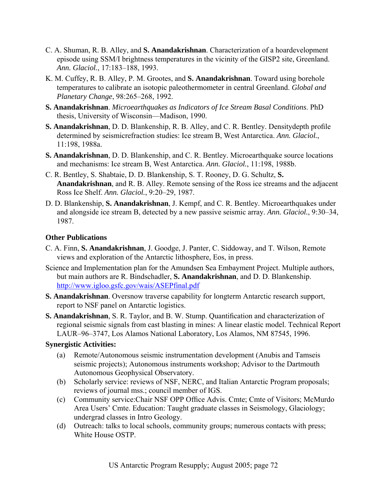- C. A. Shuman, R. B. Alley, and **S. Anandakrishnan**. Characterization of a hoardevelopment episode using SSM/I brightness temperatures in the vicinity of the GISP2 site, Greenland. *Ann. Glaciol.*, 17:183–188, 1993.
- K. M. Cuffey, R. B. Alley, P. M. Grootes, and **S. Anandakrishnan**. Toward using borehole temperatures to calibrate an isotopic paleothermometer in central Greenland. *Global and Planetary Change*, 98:265–268, 1992.
- **S. Anandakrishnan**. *Microearthquakes as Indicators of Ice Stream Basal Conditions*. PhD thesis, University of Wisconsin—Madison, 1990.
- **S. Anandakrishnan**, D. D. Blankenship, R. B. Alley, and C. R. Bentley. Densitydepth profile determined by seismicrefraction studies: Ice stream B, West Antarctica. *Ann. Glaciol.*, 11:198, 1988a.
- **S. Anandakrishnan**, D. D. Blankenship, and C. R. Bentley. Microearthquake source locations and mechanisms: Ice stream B, West Antarctica. *Ann. Glaciol.*, 11:198, 1988b.
- C. R. Bentley, S. Shabtaie, D. D. Blankenship, S. T. Rooney, D. G. Schultz, **S. Anandakrishnan**, and R. B. Alley. Remote sensing of the Ross ice streams and the adjacent Ross Ice Shelf. *Ann. Glaciol.*, 9:20–29, 1987.
- D. D. Blankenship, **S. Anandakrishnan**, J. Kempf, and C. R. Bentley. Microearthquakes under and alongside ice stream B, detected by a new passive seismic array. *Ann. Glaciol.*, 9:30–34, 1987.

# **Other Publications**

- C. A. Finn, **S. Anandakrishnan**, J. Goodge, J. Panter, C. Siddoway, and T. Wilson, Remote views and exploration of the Antarctic lithosphere, Eos, in press.
- Science and Implementation plan for the Amundsen Sea Embayment Project. Multiple authors, but main authors are R. Bindschadler, **S. Anandakrishnan**, and D. D. Blankenship. [http://www.igloo.gsfc.gov/wais/ASEPfinal.pdf](http://www.igloo.gsfc.gov/wais/ASEPfinal.pdf)
- **S. Anandakrishnan**. Oversnow traverse capability for longterm Antarctic research support, report to NSF panel on Antarctic logistics.
- **S. Anandakrishnan**, S. R. Taylor, and B. W. Stump. Quantification and characterization of regional seismic signals from cast blasting in mines: A linear elastic model. Technical Report LAUR–96–3747, Los Alamos National Laboratory, Los Alamos, NM 87545, 1996.

# **Synergistic Activities:**

- (a) Remote/Autonomous seismic instrumentation development (Anubis and Tamseis seismic projects); Autonomous instruments workshop; Advisor to the Dartmouth Autonomous Geophysical Observatory.
- (b) Scholarly service: reviews of NSF, NERC, and Italian Antarctic Program proposals; reviews of journal mss.; council member of IGS.
- (c) Community service:Chair NSF OPP Office Advis. Cmte; Cmte of Visitors; McMurdo Area Users' Cmte. Education: Taught graduate classes in Seismology, Glaciology; undergrad classes in Intro Geology.
- (d) Outreach: talks to local schools, community groups; numerous contacts with press; White House OSTP.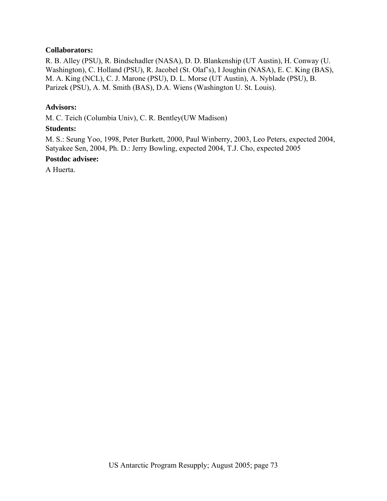# **Collaborators:**

R. B. Alley (PSU), R. Bindschadler (NASA), D. D. Blankenship (UT Austin), H. Conway (U. Washington), C. Holland (PSU), R. Jacobel (St. Olaf's), I Joughin (NASA), E. C. King (BAS), M. A. King (NCL), C. J. Marone (PSU), D. L. Morse (UT Austin), A. Nyblade (PSU), B. Parizek (PSU), A. M. Smith (BAS), D.A. Wiens (Washington U. St. Louis).

### **Advisors:**

M. C. Teich (Columbia Univ), C. R. Bentley(UW Madison)

### **Students:**

M. S.: Seung Yoo, 1998, Peter Burkett, 2000, Paul Winberry, 2003, Leo Peters, expected 2004, Satyakee Sen, 2004, Ph. D.: Jerry Bowling, expected 2004, T.J. Cho, expected 2005

### **Postdoc advisee:**

A Huerta.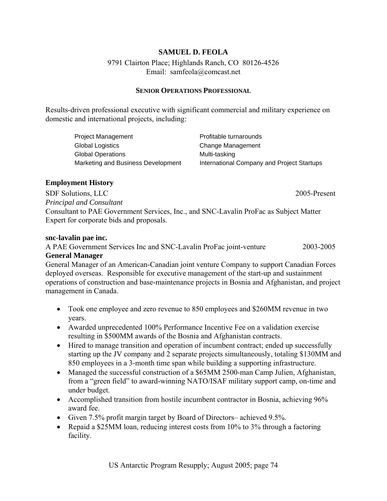# **SAMUEL D. FEOLA**

# 9791 Clairton Place; Highlands Ranch, CO 80126-4526 Email: samfeola@comcast.net

## **SENIOR OPERATIONS PROFESSIONAL**

Results-driven professional executive with significant commercial and military experience on domestic and international projects, including:

| Project Management                 | Profitable turnarounds                     |
|------------------------------------|--------------------------------------------|
| <b>Global Logistics</b>            | Change Management                          |
| <b>Global Operations</b>           | Multi-tasking                              |
| Marketing and Business Development | International Company and Project Startups |

## **Employment History**

SDF Solutions, LLC 2005-Present *Principal and Consultant*  Consultant to PAE Government Services, Inc., and SNC-Lavalin ProFac as Subject Matter Expert for corporate bids and proposals.

#### **snc-lavalin pae inc.**

A PAE Government Services Inc and SNC-Lavalin ProFac joint-venture 2003-2005 **General Manager** 

General Manager of an American-Canadian joint venture Company to support Canadian Forces deployed overseas. Responsible for executive management of the start-up and sustainment operations of construction and base-maintenance projects in Bosnia and Afghanistan, and project management in Canada.

- Took one employee and zero revenue to 850 employees and \$260MM revenue in two years.
- Awarded unprecedented 100% Performance Incentive Fee on a validation exercise resulting in \$500MM awards of the Bosnia and Afghanistan contracts.
- Hired to manage transition and operation of incumbent contract; ended up successfully starting up the JV company and 2 separate projects simultaneously, totaling \$130MM and 850 employees in a 3-month time span while building a supporting infrastructure.
- Managed the successful construction of a \$65MM 2500-man Camp Julien, Afghanistan, from a "green field" to award-winning NATO/ISAF military support camp, on-time and under budget.
- Accomplished transition from hostile incumbent contractor in Bosnia, achieving 96% award fee.
- Given 7.5% profit margin target by Board of Directors– achieved 9.5%.
- Repaid a \$25MM loan, reducing interest costs from 10% to 3% through a factoring facility.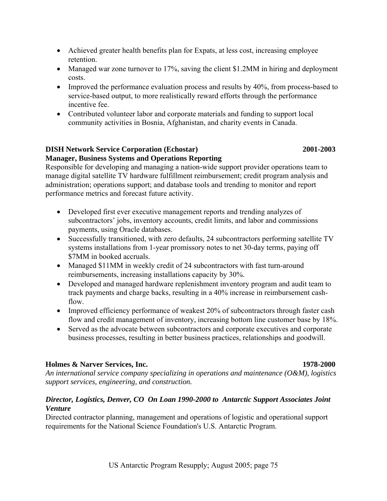- Achieved greater health benefits plan for Expats, at less cost, increasing employee retention.
- Managed war zone turnover to 17%, saving the client \$1.2MM in hiring and deployment costs.
- Improved the performance evaluation process and results by 40%, from process-based to service-based output, to more realistically reward efforts through the performance incentive fee.
- Contributed volunteer labor and corporate materials and funding to support local community activities in Bosnia, Afghanistan, and charity events in Canada.

# **DISH Network Service Corporation (Echostar) 2001-2003 Manager, Business Systems and Operations Reporting**

Responsible for developing and managing a nation-wide support provider operations team to manage digital satellite TV hardware fulfillment reimbursement; credit program analysis and administration; operations support; and database tools and trending to monitor and report performance metrics and forecast future activity.

- Developed first ever executive management reports and trending analyzes of subcontractors' jobs, inventory accounts, credit limits, and labor and commissions payments, using Oracle databases.
- Successfully transitioned, with zero defaults, 24 subcontractors performing satellite TV systems installations from 1-year promissory notes to net 30-day terms, paying off \$7MM in booked accruals.
- Managed \$11MM in weekly credit of 24 subcontractors with fast turn-around reimbursements, increasing installations capacity by 30%.
- Developed and managed hardware replenishment inventory program and audit team to track payments and charge backs, resulting in a 40% increase in reimbursement cashflow.
- Improved efficiency performance of weakest 20% of subcontractors through faster cash flow and credit management of inventory, increasing bottom line customer base by 18%.
- Served as the advocate between subcontractors and corporate executives and corporate business processes, resulting in better business practices, relationships and goodwill.

# **Holmes & Narver Services, Inc. 1978-2000**

*An international service company specializing in operations and maintenance (O&M), logistics support services, engineering, and construction.* 

# *Director, Logistics, Denver, CO On Loan 1990-2000 to Antarctic Support Associates Joint Venture*

Directed contractor planning, management and operations of logistic and operational support requirements for the National Science Foundation's U.S. Antarctic Program.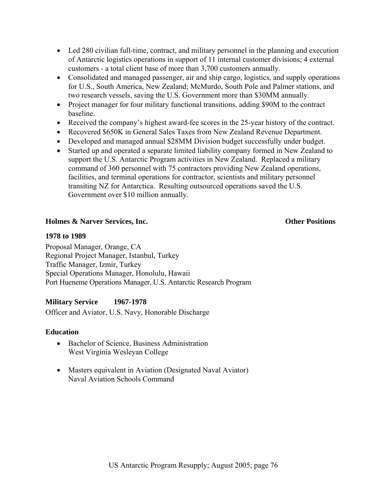- Led 280 civilian full-time, contract, and military personnel in the planning and execution of Antarctic logistics operations in support of 11 internal customer divisions; 4 external customers - a total client base of more than 3,700 customers annually.
- Consolidated and managed passenger, air and ship cargo, logistics, and supply operations for U.S., South America, New Zealand; McMurdo, South Pole and Palmer stations, and two research vessels, saving the U.S. Government more than \$30MM annually.
- Project manager for four military functional transitions, adding \$90M to the contract baseline.
- Received the company's highest award-fee scores in the 25-year history of the contract.
- Recovered \$650K in General Sales Taxes from New Zealand Revenue Department.
- Developed and managed annual \$28MM Division budget successfully under budget.
- Started up and operated a separate limited liability company formed in New Zealand to support the U.S. Antarctic Program activities in New Zealand. Replaced a military command of 360 personnel with 75 contractors providing New Zealand operations, facilities, and terminal operations for contractor, scientists and military personnel transiting NZ for Antarctica. Resulting outsourced operations saved the U.S. Government over \$10 million annually.

# **Holmes & Narver Services, Inc. Other Positions**

## **1978 to 1989**

Proposal Manager, Orange, CA Regional Project Manager, Istanbul, Turkey Traffic Manager, Izmir, Turkey Special Operations Manager, Honolulu, Hawaii Port Hueneme Operations Manager, U.S. Antarctic Research Program

# **Military Service 1967-1978**

Officer and Aviator, U.S. Navy, Honorable Discharge

# **Education**

- Bachelor of Science, Business Administration West Virginia Wesleyan College
- Masters equivalent in Aviation (Designated Naval Aviator) Naval Aviation Schools Command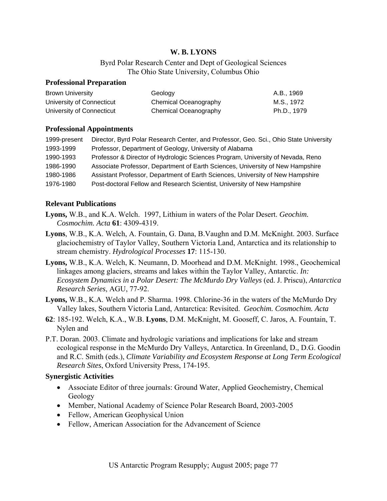# **W. B. LYONS**

Byrd Polar Research Center and Dept of Geological Sciences The Ohio State University, Columbus Ohio

#### **Professional Preparation**

| <b>Brown University</b>   | Geology               | A.B., 1969  |
|---------------------------|-----------------------|-------------|
| University of Connecticut | Chemical Oceanography | M.S., 1972  |
| University of Connecticut | Chemical Oceanography | Ph.D., 1979 |

#### **Professional Appointments**

| 1999-present | Director, Byrd Polar Research Center, and Professor, Geo. Sci., Ohio State University |
|--------------|---------------------------------------------------------------------------------------|
| 1993-1999    | Professor, Department of Geology, University of Alabama                               |
| 1990-1993    | Professor & Director of Hydrologic Sciences Program, University of Nevada, Reno       |
| 1986-1990    | Associate Professor, Department of Earth Sciences, University of New Hampshire        |
| 1980-1986    | Assistant Professor, Department of Earth Sciences, University of New Hampshire        |
| 1976-1980    | Post-doctoral Fellow and Research Scientist, University of New Hampshire              |

#### **Relevant Publications**

- **Lyons,** W.B., and K.A. Welch. 1997, Lithium in waters of the Polar Desert. *Geochim. Cosmochim. Acta* **61**: 4309-4319.
- **Lyons**, W.B., K.A. Welch, A. Fountain, G. Dana, B.Vaughn and D.M. McKnight. 2003. Surface glaciochemistry of Taylor Valley, Southern Victoria Land, Antarctica and its relationship to stream chemistry. *Hydrological Processes* **17**: 115-130.
- **Lyons,** W.B., K.A. Welch, K. Neumann, D. Moorhead and D.M. McKnight. 1998., Geochemical linkages among glaciers, streams and lakes within the Taylor Valley, Antarctic. *In: Ecosystem Dynamics in a Polar Desert: The McMurdo Dry Valleys* (ed. J. Priscu), *Antarctica Research Series*, AGU, 77-92.
- **Lyons,** W.B., K.A. Welch and P. Sharma. 1998. Chlorine-36 in the waters of the McMurdo Dry Valley lakes, Southern Victoria Land, Antarctica: Revisited. *Geochim. Cosmochim. Acta*
- **62**: 185-192. Welch, K.A., W.B. **Lyons**, D.M. McKnight, M. Gooseff, C. Jaros, A. Fountain, T. Nylen and
- P.T. Doran. 2003. Climate and hydrologic variations and implications for lake and stream ecological response in the McMurdo Dry Valleys, Antarctica. In Greenland, D., D.G. Goodin and R.C. Smith (eds.), *Climate Variability and Ecosystem Response at Long Term Ecological Research Sites*, Oxford University Press, 174-195.

#### **Synergistic Activities**

- Associate Editor of three journals: Ground Water, Applied Geochemistry, Chemical Geology
- Member, National Academy of Science Polar Research Board, 2003-2005
- Fellow, American Geophysical Union
- Fellow, American Association for the Advancement of Science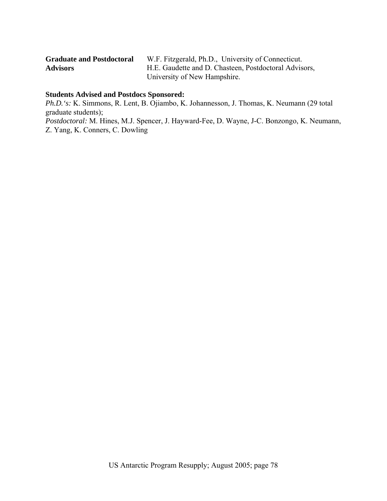| <b>Graduate and Postdoctoral</b> | W.F. Fitzgerald, Ph.D., University of Connecticut.    |
|----------------------------------|-------------------------------------------------------|
| <b>Advisors</b>                  | H.E. Gaudette and D. Chasteen, Postdoctoral Advisors, |
|                                  | University of New Hampshire.                          |

# **Students Advised and Postdocs Sponsored:**

*Ph.D.'s:* K. Simmons, R. Lent, B. Ojiambo, K. Johannesson, J. Thomas, K. Neumann (29 total graduate students);

*Postdoctoral:* M. Hines, M.J. Spencer, J. Hayward-Fee, D. Wayne, J-C. Bonzongo, K. Neumann, Z. Yang, K. Conners, C. Dowling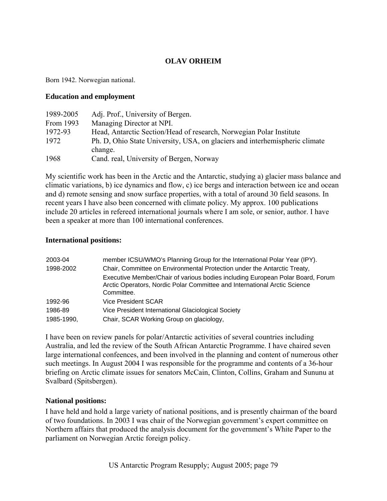# **OLAV ORHEIM**

Born 1942. Norwegian national.

#### **Education and employment**

| 1989-2005 | Adj. Prof., University of Bergen.                                           |
|-----------|-----------------------------------------------------------------------------|
| From 1993 | Managing Director at NPI.                                                   |
| 1972-93   | Head, Antarctic Section/Head of research, Norwegian Polar Institute         |
| 1972      | Ph. D, Ohio State University, USA, on glaciers and interhemispheric climate |
|           | change.                                                                     |
| 1968      | Cand. real, University of Bergen, Norway                                    |

My scientific work has been in the Arctic and the Antarctic, studying a) glacier mass balance and climatic variations, b) ice dynamics and flow, c) ice bergs and interaction between ice and ocean and d) remote sensing and snow surface properties, with a total of around 30 field seasons. In recent years I have also been concerned with climate policy. My approx. 100 publications include 20 articles in refereed international journals where I am sole, or senior, author. I have been a speaker at more than 100 international conferences.

#### **International positions:**

| 2003-04    | member ICSU/WMO's Planning Group for the International Polar Year (IPY).                                                                                                  |
|------------|---------------------------------------------------------------------------------------------------------------------------------------------------------------------------|
| 1998-2002  | Chair, Committee on Environmental Protection under the Antarctic Treaty,                                                                                                  |
|            | Executive Member/Chair of various bodies including European Polar Board, Forum<br>Arctic Operators, Nordic Polar Committee and International Arctic Science<br>Committee. |
| 1992-96    | Vice President SCAR                                                                                                                                                       |
| 1986-89    | Vice President International Glaciological Society                                                                                                                        |
| 1985-1990, | Chair, SCAR Working Group on glaciology,                                                                                                                                  |

I have been on review panels for polar/Antarctic activities of several countries including Australia, and led the review of the South African Antarctic Programme. I have chaired seven large international confeences, and been involved in the planning and content of numerous other such meetings. In August 2004 I was responsible for the programme and contents of a 36-hour briefing on Arctic climate issues for senators McCain, Clinton, Collins, Graham and Sununu at Svalbard (Spitsbergen).

#### **National positions:**

I have held and hold a large variety of national positions, and is presently chairman of the board of two foundations. In 2003 I was chair of the Norwegian government's expert committee on Northern affairs that produced the analysis document for the government's White Paper to the parliament on Norwegian Arctic foreign policy.